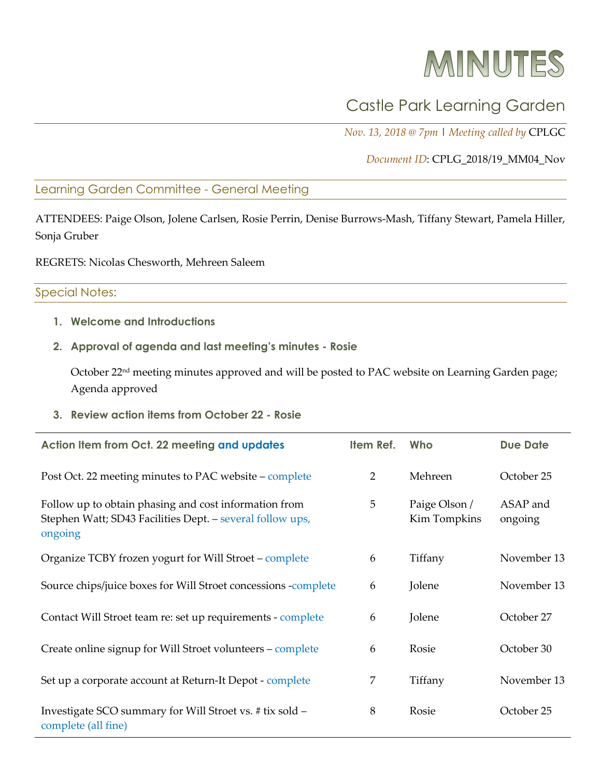# MINUTES

## Castle Park Learning Garden

*Nov. 13, 2018 @ 7pm* | *Meeting called by* CPLGC

*Document ID*: CPLG\_2018/19\_MM04\_Nov

Learning Garden Committee - General Meeting

ATTENDEES: Paige Olson, Jolene Carlsen, Rosie Perrin, Denise Burrows-Mash, Tiffany Stewart, Pamela Hiller, Sonja Gruber

REGRETS: Nicolas Chesworth, Mehreen Saleem

#### Special Notes:

**1. Welcome and Introductions**

#### **2. Approval of agenda and last meeting's minutes - Rosie**

October 22<sup>nd</sup> meeting minutes approved and will be posted to PAC website on Learning Garden page; Agenda approved

**3. Review action items from October 22 - Rosie**

| Action Item from Oct. 22 meeting and updates                                                                                  | Item Ref. | Who                           | <b>Due Date</b>     |
|-------------------------------------------------------------------------------------------------------------------------------|-----------|-------------------------------|---------------------|
| Post Oct. 22 meeting minutes to PAC website – complete                                                                        | 2         | Mehreen                       | October 25          |
| Follow up to obtain phasing and cost information from<br>Stephen Watt; SD43 Facilities Dept. - several follow ups,<br>ongoing | 5         | Paige Olson /<br>Kim Tompkins | ASAP and<br>ongoing |
| Organize TCBY frozen yogurt for Will Stroet - complete                                                                        | 6         | Tiffany                       | November 13         |
| Source chips/juice boxes for Will Stroet concessions -complete                                                                | 6         | Jolene                        | November 13         |
| Contact Will Stroet team re: set up requirements - complete                                                                   | 6         | Jolene                        | October 27          |
| Create online signup for Will Stroet volunteers - complete                                                                    | 6         | Rosie                         | October 30          |
| Set up a corporate account at Return-It Depot - complete                                                                      | 7         | Tiffany                       | November 13         |
| Investigate SCO summary for Will Stroet vs. # tix sold -<br>complete (all fine)                                               | 8         | Rosie                         | October 25          |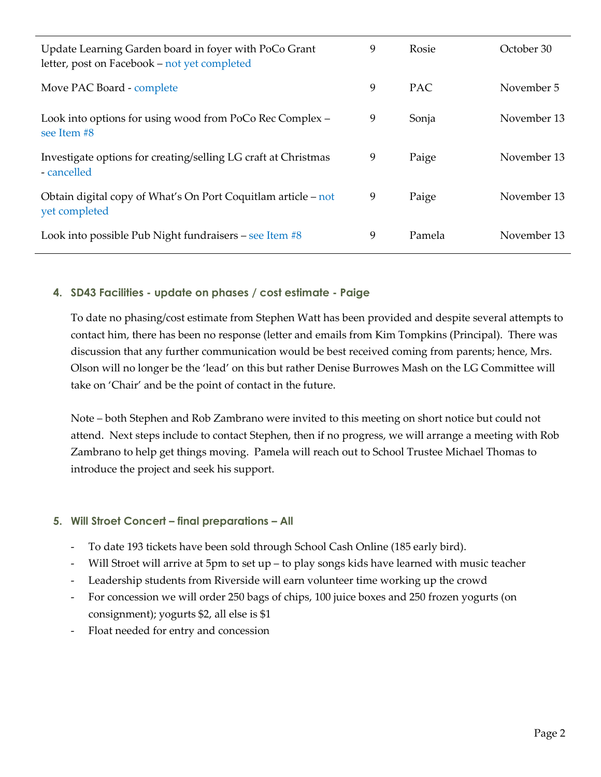| Update Learning Garden board in foyer with PoCo Grant<br>letter, post on Facebook – not yet completed | 9 | Rosie      | October 30  |
|-------------------------------------------------------------------------------------------------------|---|------------|-------------|
| Move PAC Board - complete                                                                             | 9 | <b>PAC</b> | November 5  |
| Look into options for using wood from PoCo Rec Complex -<br>see Item #8                               | 9 | Sonja      | November 13 |
| Investigate options for creating/selling LG craft at Christmas<br>- cancelled                         | 9 | Paige      | November 13 |
| Obtain digital copy of What's On Port Coquitlam article – not<br>yet completed                        | 9 | Paige      | November 13 |
| Look into possible Pub Night fundraisers – see Item #8                                                | 9 | Pamela     | November 13 |

#### **4. SD43 Facilities - update on phases / cost estimate - Paige**

To date no phasing/cost estimate from Stephen Watt has been provided and despite several attempts to contact him, there has been no response (letter and emails from Kim Tompkins (Principal). There was discussion that any further communication would be best received coming from parents; hence, Mrs. Olson will no longer be the 'lead' on this but rather Denise Burrowes Mash on the LG Committee will take on 'Chair' and be the point of contact in the future.

Note – both Stephen and Rob Zambrano were invited to this meeting on short notice but could not attend. Next steps include to contact Stephen, then if no progress, we will arrange a meeting with Rob Zambrano to help get things moving. Pamela will reach out to School Trustee Michael Thomas to introduce the project and seek his support.

#### **5. Will Stroet Concert – final preparations – All**

- To date 193 tickets have been sold through School Cash Online (185 early bird).
- Will Stroet will arrive at 5pm to set  $up$  to play songs kids have learned with music teacher
- Leadership students from Riverside will earn volunteer time working up the crowd
- For concession we will order 250 bags of chips, 100 juice boxes and 250 frozen yogurts (on consignment); yogurts \$2, all else is \$1
- Float needed for entry and concession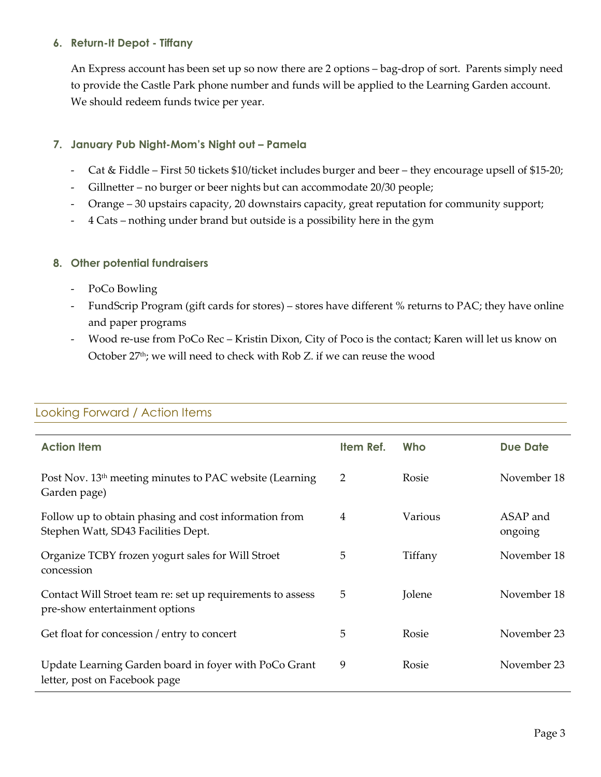#### **6. Return-It Depot - Tiffany**

An Express account has been set up so now there are 2 options – bag-drop of sort. Parents simply need to provide the Castle Park phone number and funds will be applied to the Learning Garden account. We should redeem funds twice per year.

#### **7. January Pub Night-Mom's Night out – Pamela**

- Cat & Fiddle First 50 tickets \$10/ticket includes burger and beer they encourage upsell of \$15-20;
- Gillnetter no burger or beer nights but can accommodate 20/30 people;
- Orange 30 upstairs capacity, 20 downstairs capacity, great reputation for community support;
- 4 Cats nothing under brand but outside is a possibility here in the gym

#### **8. Other potential fundraisers**

- PoCo Bowling
- FundScrip Program (gift cards for stores) stores have different % returns to PAC; they have online and paper programs
- Wood re-use from PoCo Rec Kristin Dixon, City of Poco is the contact; Karen will let us know on October 27<sup>th</sup>; we will need to check with Rob Z. if we can reuse the wood

| <b>Action Item</b>                                                                           | Item Ref. | Who     | <b>Due Date</b>     |
|----------------------------------------------------------------------------------------------|-----------|---------|---------------------|
| Post Nov. 13 <sup>th</sup> meeting minutes to PAC website (Learning<br>Garden page)          | 2         | Rosie   | November 18         |
| Follow up to obtain phasing and cost information from<br>Stephen Watt, SD43 Facilities Dept. | 4         | Various | ASAP and<br>ongoing |
| Organize TCBY frozen yogurt sales for Will Stroet<br>concession                              | 5         | Tiffany | November 18         |
| Contact Will Stroet team re: set up requirements to assess<br>pre-show entertainment options | 5         | Jolene  | November 18         |
| Get float for concession / entry to concert                                                  | 5         | Rosie   | November 23         |
| Update Learning Garden board in foyer with PoCo Grant<br>letter, post on Facebook page       | 9         | Rosie   | November 23         |

### Looking Forward / Action Items